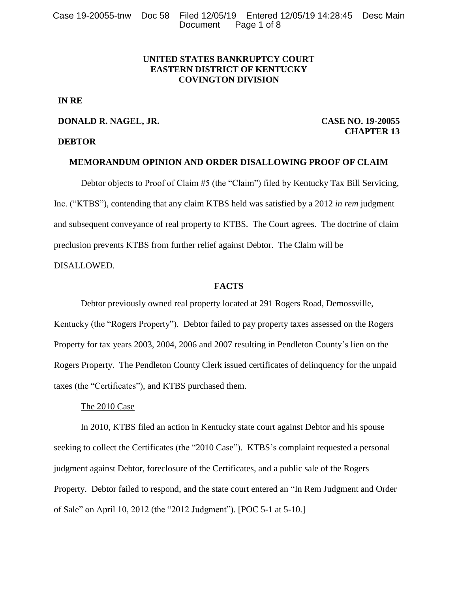# **UNITED STATES BANKRUPTCY COURT EASTERN DISTRICT OF KENTUCKY COVINGTON DIVISION**

**IN RE**

# **DONALD R. NAGEL, JR.**

### **DEBTOR**

# **CASE NO. 19-20055 CHAPTER 13**

# **MEMORANDUM OPINION AND ORDER DISALLOWING PROOF OF CLAIM**

Debtor objects to Proof of Claim #5 (the "Claim") filed by Kentucky Tax Bill Servicing, Inc. ("KTBS"), contending that any claim KTBS held was satisfied by a 2012 *in rem* judgment and subsequent conveyance of real property to KTBS. The Court agrees. The doctrine of claim preclusion prevents KTBS from further relief against Debtor. The Claim will be DISALLOWED.

## **FACTS**

Debtor previously owned real property located at 291 Rogers Road, Demossville, Kentucky (the "Rogers Property"). Debtor failed to pay property taxes assessed on the Rogers Property for tax years 2003, 2004, 2006 and 2007 resulting in Pendleton County's lien on the Rogers Property. The Pendleton County Clerk issued certificates of delinquency for the unpaid taxes (the "Certificates"), and KTBS purchased them.

### The 2010 Case

In 2010, KTBS filed an action in Kentucky state court against Debtor and his spouse seeking to collect the Certificates (the "2010 Case"). KTBS's complaint requested a personal judgment against Debtor, foreclosure of the Certificates, and a public sale of the Rogers Property. Debtor failed to respond, and the state court entered an "In Rem Judgment and Order of Sale" on April 10, 2012 (the "2012 Judgment"). [POC 5-1 at 5-10.]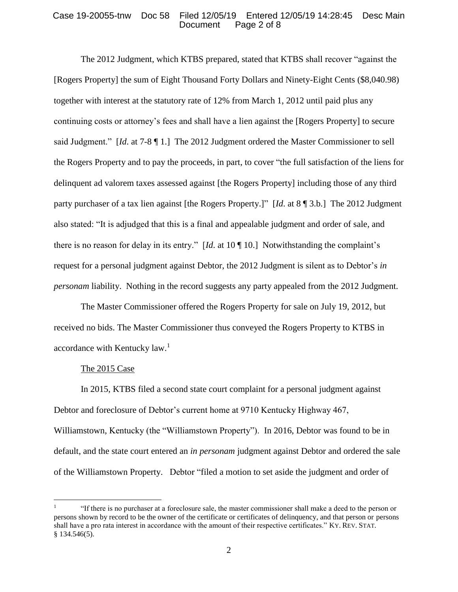## Case 19-20055-tnw Doc 58 Filed 12/05/19 Entered 12/05/19 14:28:45 Desc Main Page 2 of 8

The 2012 Judgment, which KTBS prepared, stated that KTBS shall recover "against the [Rogers Property] the sum of Eight Thousand Forty Dollars and Ninety-Eight Cents (\$8,040.98) together with interest at the statutory rate of 12% from March 1, 2012 until paid plus any continuing costs or attorney's fees and shall have a lien against the [Rogers Property] to secure said Judgment." [*Id*. at 7-8 ¶ 1.] The 2012 Judgment ordered the Master Commissioner to sell the Rogers Property and to pay the proceeds, in part, to cover "the full satisfaction of the liens for delinquent ad valorem taxes assessed against [the Rogers Property] including those of any third party purchaser of a tax lien against [the Rogers Property.]" [*Id*. at 8 ¶ 3.b.] The 2012 Judgment also stated: "It is adjudged that this is a final and appealable judgment and order of sale, and there is no reason for delay in its entry." [*Id*. at 10 ¶ 10.] Notwithstanding the complaint's request for a personal judgment against Debtor, the 2012 Judgment is silent as to Debtor's *in personam* liability. Nothing in the record suggests any party appealed from the 2012 Judgment.

The Master Commissioner offered the Rogers Property for sale on July 19, 2012, but received no bids. The Master Commissioner thus conveyed the Rogers Property to KTBS in accordance with Kentucky law.<sup>1</sup>

### The 2015 Case

 $\overline{a}$ 

In 2015, KTBS filed a second state court complaint for a personal judgment against Debtor and foreclosure of Debtor's current home at 9710 Kentucky Highway 467, Williamstown, Kentucky (the "Williamstown Property"). In 2016, Debtor was found to be in default, and the state court entered an *in personam* judgment against Debtor and ordered the sale of the Williamstown Property. Debtor "filed a motion to set aside the judgment and order of

<sup>1</sup> "If there is no purchaser at a foreclosure sale, the master commissioner shall make a deed to the person or persons shown by record to be the owner of the certificate or certificates of delinquency, and that person or persons shall have a pro rata interest in accordance with the amount of their respective certificates." KY. REV. STAT. § 134.546(5).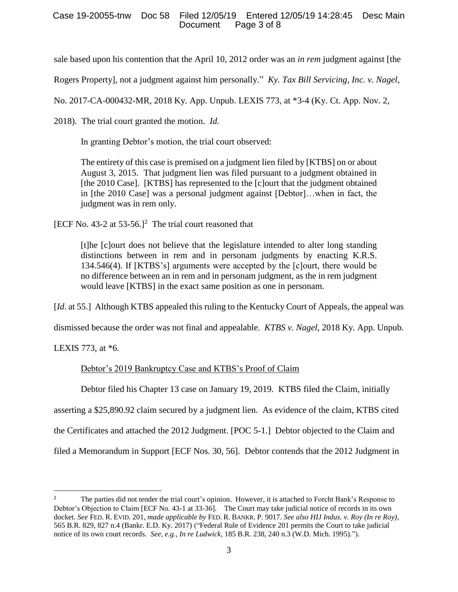## Case 19-20055-tnw Doc 58 Filed 12/05/19 Entered 12/05/19 14:28:45 Desc Main Page 3 of 8

sale based upon his contention that the April 10, 2012 order was an *in rem* judgment against [the

Rogers Property], not a judgment against him personally." *Ky. Tax Bill Servicing, Inc. v. Nagel*,

No. 2017-CA-000432-MR, 2018 Ky. App. Unpub. LEXIS 773, at \*3-4 (Ky. Ct. App. Nov. 2,

2018). The trial court granted the motion. *Id.*

In granting Debtor's motion, the trial court observed:

The entirety of this case is premised on a judgment lien filed by [KTBS] on or about August 3, 2015. That judgment lien was filed pursuant to a judgment obtained in [the 2010 Case]. [KTBS] has represented to the [c]ourt that the judgment obtained in [the 2010 Case] was a personal judgment against [Debtor]…when in fact, the judgment was in rem only.

[ECF No. 43-2 at 53-56.]<sup>2</sup> The trial court reasoned that

[t]he [c]ourt does not believe that the legislature intended to alter long standing distinctions between in rem and in personam judgments by enacting K.R.S. 134.546(4). If [KTBS's] arguments were accepted by the [c]ourt, there would be no difference between an in rem and in personam judgment, as the in rem judgment would leave [KTBS] in the exact same position as one in personam.

[*Id*. at 55.] Although KTBS appealed this ruling to the Kentucky Court of Appeals, the appeal was

dismissed because the order was not final and appealable. *KTBS v. Nagel*, 2018 Ky. App. Unpub.

LEXIS 773, at \*6.

l

# Debtor's 2019 Bankruptcy Case and KTBS's Proof of Claim

Debtor filed his Chapter 13 case on January 19, 2019. KTBS filed the Claim, initially

asserting a \$25,890.92 claim secured by a judgment lien. As evidence of the claim, KTBS cited

the Certificates and attached the 2012 Judgment. [POC 5-1.] Debtor objected to the Claim and

filed a Memorandum in Support [ECF Nos. 30, 56]. Debtor contends that the 2012 Judgment in

<sup>&</sup>lt;sup>2</sup> The parties did not tender the trial court's opinion. However, it is attached to Forcht Bank's Response to Debtor's Objection to Claim [ECF No. 43-1 at 33-36]. The Court may take judicial notice of records in its own docket. *See* FED. R. EVID. 201, *made applicable by* FED. R. BANKR. P. 9017. *See also HIJ Indus. v. Roy (In re Roy)*, 565 B.R. 829, 827 n.4 (Bankr. E.D. Ky. 2017) ("Federal Rule of Evidence 201 permits the Court to take judicial notice of its own court records. *See*, *e.g.*, *In re Ludwick*, 185 B.R. 238, 240 n.3 (W.D. Mich. 1995).").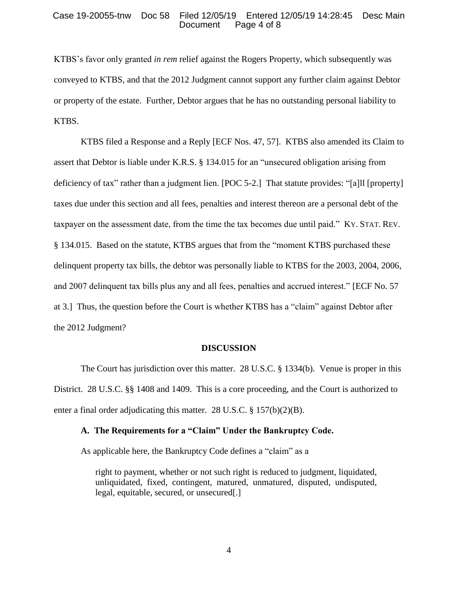### Case 19-20055-tnw Doc 58 Filed 12/05/19 Entered 12/05/19 14:28:45 Desc Main Page 4 of 8

KTBS's favor only granted *in rem* relief against the Rogers Property, which subsequently was conveyed to KTBS, and that the 2012 Judgment cannot support any further claim against Debtor or property of the estate. Further, Debtor argues that he has no outstanding personal liability to KTBS.

KTBS filed a Response and a Reply [ECF Nos. 47, 57]. KTBS also amended its Claim to assert that Debtor is liable under K.R.S. § 134.015 for an "unsecured obligation arising from deficiency of tax" rather than a judgment lien. [POC 5-2.] That statute provides: "[a]ll [property] taxes due under this section and all fees, penalties and interest thereon are a personal debt of the taxpayer on the assessment date, from the time the tax becomes due until paid." KY. STAT. REV. § 134.015. Based on the statute, KTBS argues that from the "moment KTBS purchased these delinquent property tax bills, the debtor was personally liable to KTBS for the 2003, 2004, 2006, and 2007 delinquent tax bills plus any and all fees, penalties and accrued interest." [ECF No. 57 at 3.] Thus, the question before the Court is whether KTBS has a "claim" against Debtor after the 2012 Judgment?

### **DISCUSSION**

The Court has jurisdiction over this matter. 28 U.S.C. § 1334(b). Venue is proper in this District. 28 U.S.C. §§ 1408 and 1409. This is a core proceeding, and the Court is authorized to enter a final order adjudicating this matter. 28 U.S.C. § 157(b)(2)(B).

### **A. The Requirements for a "Claim" Under the Bankruptcy Code.**

As applicable here, the Bankruptcy Code defines a "claim" as a

right to payment, whether or not such right is reduced to judgment, liquidated, unliquidated, fixed, contingent, matured, unmatured, disputed, undisputed, legal, equitable, secured, or unsecured[.]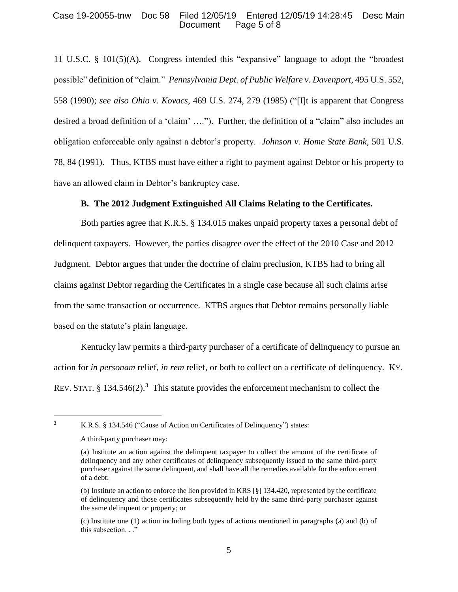## Case 19-20055-tnw Doc 58 Filed 12/05/19 Entered 12/05/19 14:28:45 Desc Main Page 5 of 8

11 U.S.C. § 101(5)(A). Congress intended this "expansive" language to adopt the "broadest possible" definition of "claim." *Pennsylvania Dept. of Public Welfare v. Davenport*, 495 U.S. 552, 558 (1990); *see also Ohio v. Kovacs*, 469 U.S. 274, 279 (1985) ("[I]t is apparent that Congress desired a broad definition of a 'claim' …."). Further, the definition of a "claim" also includes an obligation enforceable only against a debtor's property. *Johnson v. Home State Bank*, 501 U.S. 78, 84 (1991). Thus, KTBS must have either a right to payment against Debtor or his property to have an allowed claim in Debtor's bankruptcy case.

## **B. The 2012 Judgment Extinguished All Claims Relating to the Certificates.**

Both parties agree that K.R.S. § 134.015 makes unpaid property taxes a personal debt of delinquent taxpayers. However, the parties disagree over the effect of the 2010 Case and 2012 Judgment. Debtor argues that under the doctrine of claim preclusion, KTBS had to bring all claims against Debtor regarding the Certificates in a single case because all such claims arise from the same transaction or occurrence. KTBS argues that Debtor remains personally liable based on the statute's plain language.

Kentucky law permits a third-party purchaser of a certificate of delinquency to pursue an action for *in personam* relief, *in rem* relief, or both to collect on a certificate of delinquency. KY. REV. STAT.  $\S$  134.546(2).<sup>3</sup> This statute provides the enforcement mechanism to collect the

 $\overline{a}$ 

<sup>&</sup>lt;sup>3</sup> K.R.S. § 134.546 ("Cause of Action on Certificates of Delinquency") states:

A third-party purchaser may:

<sup>(</sup>a) Institute an action against the delinquent taxpayer to collect the amount of the certificate of delinquency and any other certificates of delinquency subsequently issued to the same third-party purchaser against the same delinquent, and shall have all the remedies available for the enforcement of a debt;

<sup>(</sup>b) Institute an action to enforce the lien provided in KRS [§] 134.420, represented by the certificate of delinquency and those certificates subsequently held by the same third-party purchaser against the same delinquent or property; or

<sup>(</sup>c) Institute one (1) action including both types of actions mentioned in paragraphs (a) and (b) of this subsection. . ."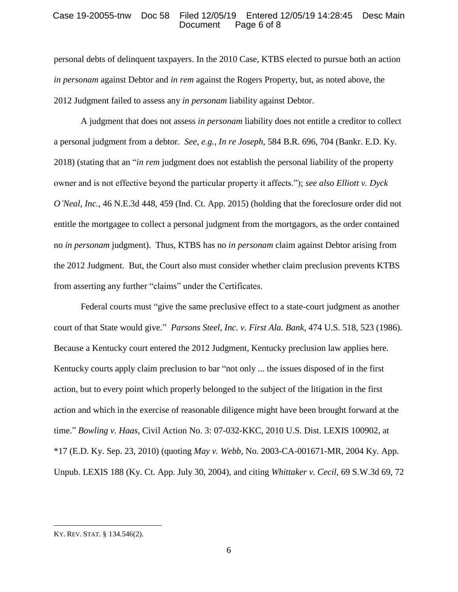### Case 19-20055-tnw Doc 58 Filed 12/05/19 Entered 12/05/19 14:28:45 Desc Main Page 6 of 8

personal debts of delinquent taxpayers. In the 2010 Case, KTBS elected to pursue both an action *in personam* against Debtor and *in rem* against the Rogers Property, but, as noted above, the 2012 Judgment failed to assess any *in personam* liability against Debtor.

A judgment that does not assess *in personam* liability does not entitle a creditor to collect a personal judgment from a debtor. *See*, *e.g.*, *In re Joseph*, 584 B.R. 696, 704 (Bankr. E.D. Ky. 2018) (stating that an "*in rem* judgment does not establish the personal liability of the property owner and is not effective beyond the particular property it affects."); *see also Elliott v. Dyck O'Neal, Inc.*, 46 N.E.3d 448, 459 (Ind. Ct. App. 2015) (holding that the foreclosure order did not entitle the mortgagee to collect a personal judgment from the mortgagors, as the order contained no *in personam* judgment). Thus, KTBS has no *in personam* claim against Debtor arising from the 2012 Judgment. But, the Court also must consider whether claim preclusion prevents KTBS from asserting any further "claims" under the Certificates.

Federal courts must "give the same preclusive effect to a state-court judgment as another court of that State would give." *Parsons Steel, Inc. v. First Ala. Bank*, 474 U.S. 518, 523 (1986). Because a Kentucky court entered the 2012 Judgment, Kentucky preclusion law applies here. Kentucky courts apply claim preclusion to bar "not only ... the issues disposed of in the first action, but to every point which properly belonged to the subject of the litigation in the first action and which in the exercise of reasonable diligence might have been brought forward at the time." *Bowling v. Haas*, Civil Action No. 3: 07-032-KKC, 2010 U.S. Dist. LEXIS 100902, at \*17 (E.D. Ky. Sep. 23, 2010) (quoting *May v. Webb*, No. 2003-CA-001671-MR, 2004 Ky. App. Unpub. LEXIS 188 (Ky. Ct. App. July 30, 2004), and citing *Whittaker v. Cecil*, 69 S.W.3d 69, 72

 $\overline{\phantom{a}}$ 

KY. REV. STAT. § 134.546(2).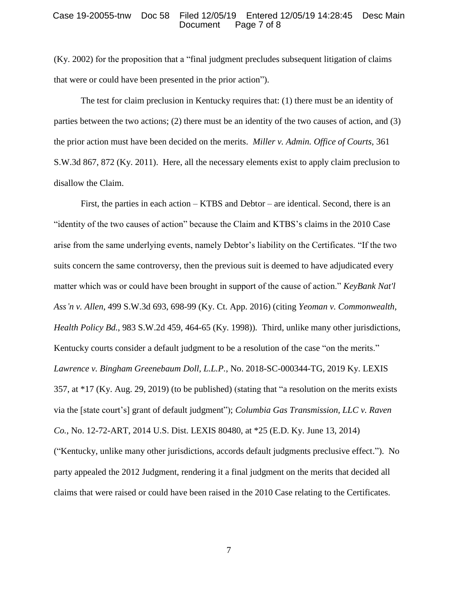#### Case 19-20055-tnw Doc 58 Filed 12/05/19 Entered 12/05/19 14:28:45 Desc Main Page 7 of 8

(Ky. 2002) for the proposition that a "final judgment precludes subsequent litigation of claims that were or could have been presented in the prior action").

The test for claim preclusion in Kentucky requires that: (1) there must be an identity of parties between the two actions; (2) there must be an identity of the two causes of action, and (3) the prior action must have been decided on the merits. *Miller v. Admin. Office of Courts,* 361 S.W.3d 867, 872 (Ky. 2011). Here, all the necessary elements exist to apply claim preclusion to disallow the Claim.

First, the parties in each action – KTBS and Debtor – are identical. Second, there is an "identity of the two causes of action" because the Claim and KTBS's claims in the 2010 Case arise from the same underlying events, namely Debtor's liability on the Certificates. "If the two suits concern the same controversy, then the previous suit is deemed to have adjudicated every matter which was or could have been brought in support of the cause of action." *KeyBank Nat'l Ass'n v. Allen*, 499 S.W.3d 693, 698-99 (Ky. Ct. App. 2016) (citing *Yeoman v. Commonwealth, Health Policy Bd.*, 983 S.W.2d 459, 464-65 (Ky. 1998)). Third, unlike many other jurisdictions, Kentucky courts consider a default judgment to be a resolution of the case "on the merits." *Lawrence v. Bingham Greenebaum Doll, L.L.P.*, No. 2018-SC-000344-TG, 2019 Ky. LEXIS 357, at \*17 (Ky. Aug. 29, 2019) (to be published) (stating that "a resolution on the merits exists via the [state court's] grant of default judgment"); *Columbia Gas Transmission, LLC v. Raven Co.*, No. 12-72-ART, 2014 U.S. Dist. LEXIS 80480, at \*25 (E.D. Ky. June 13, 2014) ("Kentucky, unlike many other jurisdictions, accords default judgments preclusive effect."). No party appealed the 2012 Judgment, rendering it a final judgment on the merits that decided all claims that were raised or could have been raised in the 2010 Case relating to the Certificates.

7